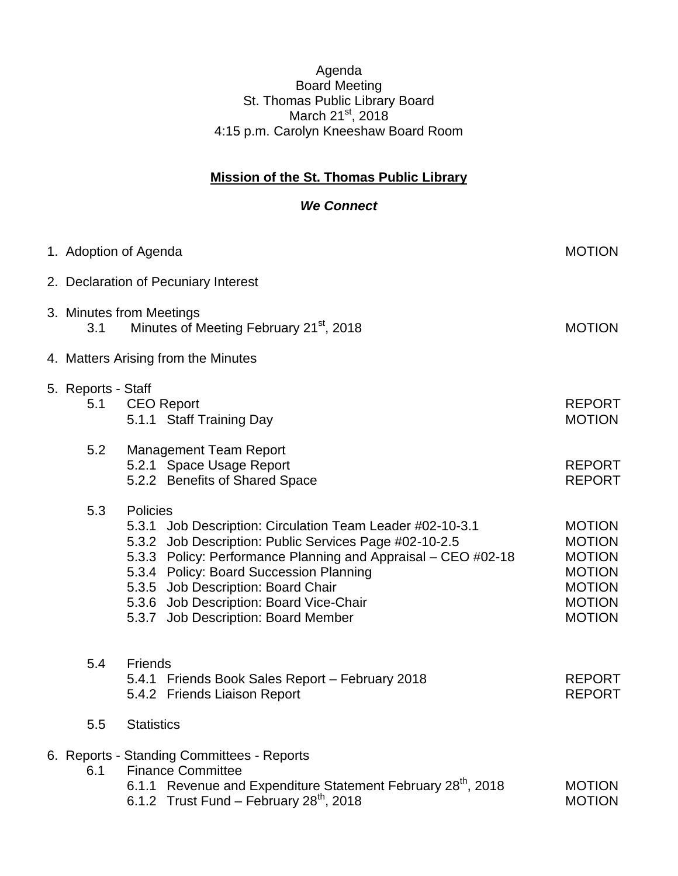## Agenda Board Meeting St. Thomas Public Library Board March 21st, 2018 4:15 p.m. Carolyn Kneeshaw Board Room

## **Mission of the St. Thomas Public Library**

## *We Connect*

|                                      | 1. Adoption of Agenda                                                                                                                                                                                                                                                                                                                                               | <b>MOTION</b>                                                                                                       |
|--------------------------------------|---------------------------------------------------------------------------------------------------------------------------------------------------------------------------------------------------------------------------------------------------------------------------------------------------------------------------------------------------------------------|---------------------------------------------------------------------------------------------------------------------|
| 2. Declaration of Pecuniary Interest |                                                                                                                                                                                                                                                                                                                                                                     |                                                                                                                     |
| 3.1                                  | 3. Minutes from Meetings<br>Minutes of Meeting February 21 <sup>st</sup> , 2018                                                                                                                                                                                                                                                                                     | <b>MOTION</b>                                                                                                       |
| 4. Matters Arising from the Minutes  |                                                                                                                                                                                                                                                                                                                                                                     |                                                                                                                     |
| 5. Reports - Staff<br>5.1            | <b>CEO</b> Report<br>5.1.1 Staff Training Day                                                                                                                                                                                                                                                                                                                       | <b>REPORT</b><br><b>MOTION</b>                                                                                      |
| 5.2                                  | <b>Management Team Report</b><br>5.2.1 Space Usage Report<br>5.2.2 Benefits of Shared Space                                                                                                                                                                                                                                                                         | <b>REPORT</b><br><b>REPORT</b>                                                                                      |
| 5.3                                  | Policies<br>5.3.1 Job Description: Circulation Team Leader #02-10-3.1<br>5.3.2 Job Description: Public Services Page #02-10-2.5<br>5.3.3 Policy: Performance Planning and Appraisal - CEO #02-18<br>5.3.4 Policy: Board Succession Planning<br>5.3.5 Job Description: Board Chair<br>5.3.6 Job Description: Board Vice-Chair<br>5.3.7 Job Description: Board Member | <b>MOTION</b><br><b>MOTION</b><br><b>MOTION</b><br><b>MOTION</b><br><b>MOTION</b><br><b>MOTION</b><br><b>MOTION</b> |
| 5.4                                  | <b>Friends</b><br>5.4.1 Friends Book Sales Report - February 2018<br>5.4.2 Friends Liaison Report                                                                                                                                                                                                                                                                   | <b>REPORT</b><br><b>REPORT</b>                                                                                      |
| 5.5                                  | <b>Statistics</b>                                                                                                                                                                                                                                                                                                                                                   |                                                                                                                     |
| 6.1                                  | 6. Reports - Standing Committees - Reports<br><b>Finance Committee</b><br>6.1.1 Revenue and Expenditure Statement February 28th, 2018<br>6.1.2 Trust Fund - February $28^{th}$ , 2018                                                                                                                                                                               | <b>MOTION</b><br><b>MOTION</b>                                                                                      |